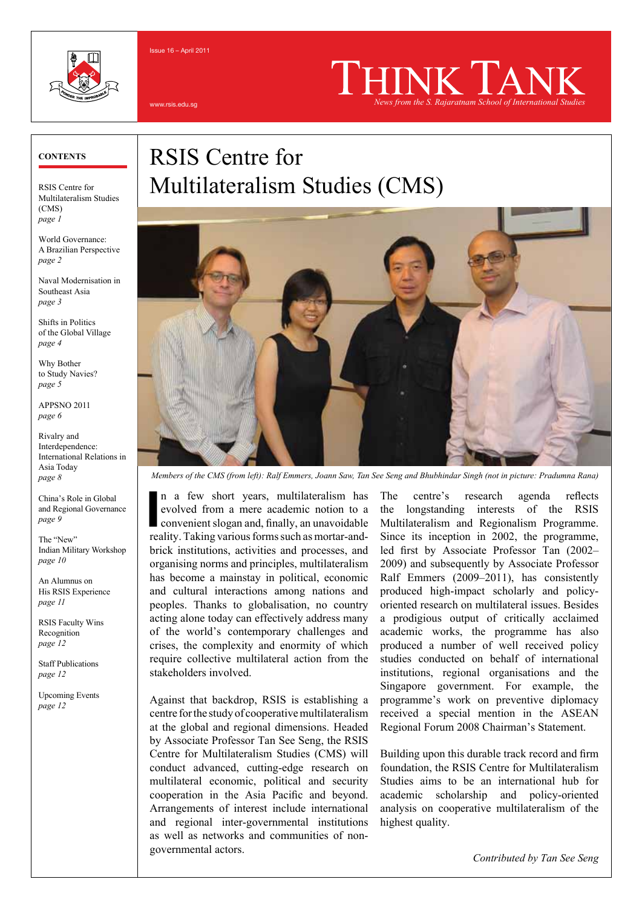

Issue 16 – April 2011

www.rsis.edu.sg

# *News from the S. Rajaratnam School of International Studies*

#### **CONTENTs**

RSIS Centre for Multilateralism Studies (CMS) *page 1*

World Governance: A Brazilian Perspective *page 2*

Naval Modernisation in Southeast Asia *page 3*

Shifts in Politics of the Global Village *page 4*

Why Bother to Study Navies? *page 5*

APPSNO 2011 *page 6*

Rivalry and Interdependence: International Relations in Asia Today *page 8*

China's Role in Global and Regional Governance *page 9*

The "New" Indian Military Workshop *page 10*

An Alumnus on His RSIS Experience *page 11*

RSIS Faculty Wins Recognition *page 12*

Staff Publications *page 12*

Upcoming Events *page 12*

## RSIS Centre for Multilateralism Studies (CMS)



*Members of the CMS (from left): Ralf Emmers, Joann Saw, Tan See Seng and Bhubhindar Singh (not in picture: Pradumna Rana)*

In a few short years, multilateralism has evolved from a mere academic notion to a convenient slogan and, finally, an unavoidable reality. Taking various forms such as mortar-andn a few short years, multilateralism has evolved from a mere academic notion to a convenient slogan and, finally, an unavoidable brick institutions, activities and processes, and organising norms and principles, multilateralism has become a mainstay in political, economic and cultural interactions among nations and peoples. Thanks to globalisation, no country acting alone today can effectively address many of the world's contemporary challenges and crises, the complexity and enormity of which require collective multilateral action from the stakeholders involved.

Against that backdrop, RSIS is establishing a centre for the study of cooperative multilateralism at the global and regional dimensions. Headed by Associate Professor Tan See Seng, the RSIS Centre for Multilateralism Studies (CMS) will conduct advanced, cutting-edge research on multilateral economic, political and security cooperation in the Asia Pacific and beyond. Arrangements of interest include international and regional inter-governmental institutions as well as networks and communities of nongovernmental actors.

The centre's research agenda reflects the longstanding interests of the RSIS Multilateralism and Regionalism Programme. Since its inception in 2002, the programme, led first by Associate Professor Tan (2002– 2009) and subsequently by Associate Professor Ralf Emmers (2009–2011), has consistently produced high-impact scholarly and policyoriented research on multilateral issues. Besides a prodigious output of critically acclaimed academic works, the programme has also produced a number of well received policy studies conducted on behalf of international institutions, regional organisations and the Singapore government. For example, the programme's work on preventive diplomacy received a special mention in the ASEAN Regional Forum 2008 Chairman's Statement.

Building upon this durable track record and firm foundation, the RSIS Centre for Multilateralism Studies aims to be an international hub for academic scholarship and policy-oriented analysis on cooperative multilateralism of the highest quality.

*Contributed by Tan See Seng*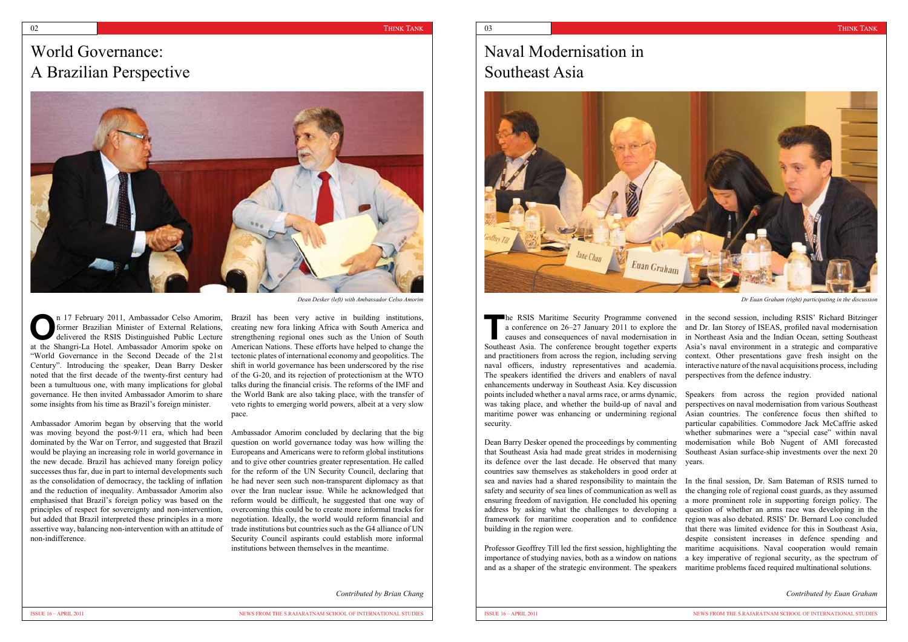### World Governance: A Brazilian Perspective



n 17 February 2011, Ambassador Celso Amorim, former Brazilian Minister of External Relations, delivered the RSIS Distinguished Public Lecture former Brazilian Minister of External Relations, at the Shangri-La Hotel. Ambassador Amorim spoke on "World Governance in the Second Decade of the 21st Century". Introducing the speaker, Dean Barry Desker noted that the first decade of the twenty-first century had been a tumultuous one, with many implications for global governance. He then invited Ambassador Amorim to share some insights from his time as Brazil's foreign minister.

Ambassador Amorim began by observing that the world was moving beyond the post-9/11 era, which had been dominated by the War on Terror, and suggested that Brazil would be playing an increasing role in world governance in the new decade. Brazil has achieved many foreign policy successes thus far, due in part to internal developments such as the consolidation of democracy, the tackling of inflation and the reduction of inequality. Ambassador Amorim also emphasised that Brazil's foreign policy was based on the principles of respect for sovereignty and non-intervention, but added that Brazil interpreted these principles in a more assertive way, balancing non-intervention with an attitude of non-indifference.

Brazil has been very active in building institutions, creating new fora linking Africa with South America and strengthening regional ones such as the Union of South American Nations. These efforts have helped to change the tectonic plates of international economy and geopolitics. The shift in world governance has been underscored by the rise of the G-20, and its rejection of protectionism at the WTO talks during the financial crisis. The reforms of the IMF and the World Bank are also taking place, with the transfer of veto rights to emerging world powers, albeit at a very slow pace.

**The RSIS Maritime Security Programme convened**<br>
a conference on 26–27 January 2011 to explore the<br>
causes and consequences of naval modernisation in a conference on 26–27 January 2011 to explore the Southeast Asia. The conference brought together experts and practitioners from across the region, including serving naval officers, industry representatives and academia. The speakers identified the drivers and enablers of naval enhancements underway in Southeast Asia. Key discussion points included whether a naval arms race, or arms dynamic, was taking place, and whether the build-up of naval and maritime power was enhancing or undermining regional security. **IDEN** RSIS Maritime Security Programme convened in the second session, including RSIS' Richard Bitzinger and Dr. Ian Storey of ISEAS, profiled naval modernisation in Northeast Asia and the Indian Ocean, setting Southeast Asia's naval environment in a strategic and comparative context. Other presentations gave fresh insight on the interactive nature of the naval acquisitions process, including perspectives from the defence industry. Speakers from across the region provided national perspectives on naval modernisation from various Southeast Asian countries. The conference focus then shifted to particular capabilities. Commodore Jack McCaffrie asked

Ambassador Amorim concluded by declaring that the big question on world governance today was how willing the Europeans and Americans were to reform global institutions and to give other countries greater representation. He called for the reform of the UN Security Council, declaring that he had never seen such non-transparent diplomacy as that over the Iran nuclear issue. While he acknowledged that reform would be difficult, he suggested that one way of overcoming this could be to create more informal tracks for negotiation. Ideally, the world would reform financial and trade institutions but countries such as the G4 alliance of UN Security Council aspirants could establish more informal institutions between themselves in the meantime.

*Dean Desker (left) with Ambassador Celso Amorim*

*Contributed by Brian Chang*

Dean Barry Desker opened the proceedings by commenting that Southeast Asia had made great strides in modernising its defence over the last decade. He observed that many countries saw themselves as stakeholders in good order at sea and navies had a shared responsibility to maintain the

safety and security of sea lines of communication as well as ensuring freedom of navigation. He concluded his opening address by asking what the challenges to developing a framework for maritime cooperation and to confidence building in the region were. Professor Geoffrey Till led the first session, highlighting the importance of studying navies, both as a window on nations and as a shaper of the strategic environment. The speakers In the final session, Dr. Sam Bateman of RSIS turned to the changing role of regional coast guards, as they assumed a more prominent role in supporting foreign policy. The question of whether an arms race was developing in the region was also debated. RSIS' Dr. Bernard Loo concluded that there was limited evidence for this in Southeast Asia, despite consistent increases in defence spending and maritime acquisitions. Naval cooperation would remain a key imperative of regional security, as the spectrum of maritime problems faced required multinational solutions.

whether submarines were a "special case" within naval modernisation while Bob Nugent of AMI forecasted Southeast Asian surface-ship investments over the next 20 years.

*Dr Euan Graham (right) participating in the discussion*



*Contributed by Euan Graham*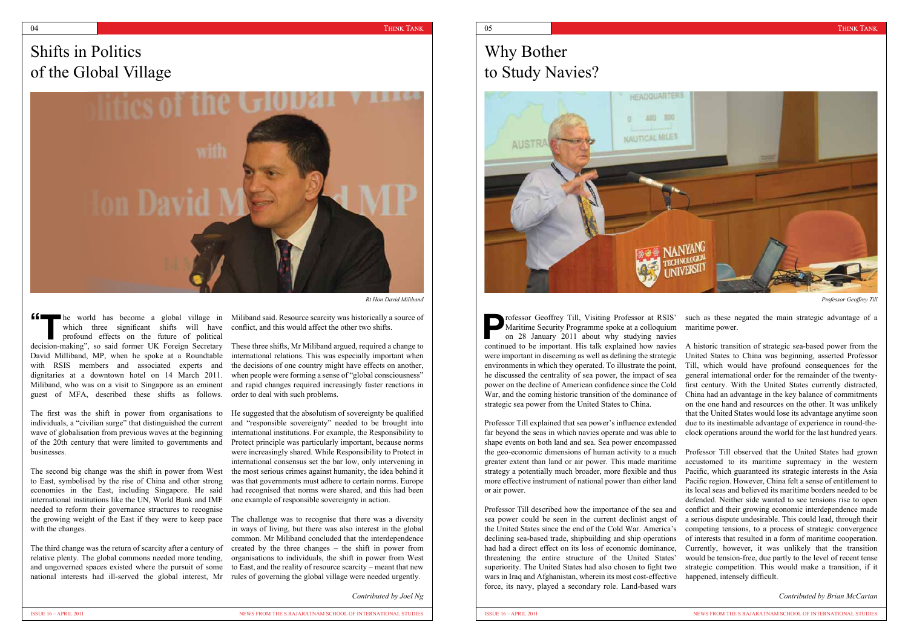#### $04$  and the contract of the contract of the contract of the contract of the contract of the contract of the contract of the contract of the contract of the contract of the contract of the contract of the contract of the

### Shifts in Politics of the Global Village



The first was the shift in power from organisations to individuals, a "civilian surge" that distinguished the current wave of globalisation from previous waves at the beginning of the 20th century that were limited to governments and businesses.

The second big change was the shift in power from West to East, symbolised by the rise of China and other strong economies in the East, including Singapore. He said international institutions like the UN, World Bank and IMF needed to reform their governance structures to recognise the growing weight of the East if they were to keep pace The challenge was to recognise that there was a diversity with the changes.

he world has become a global village in Miliband said. Resource scarcity was historically a source of conflict, and this would affect the other two shifts.

> shape events on both land and sea. Sea power encompassed the geo-economic dimensions of human activity to a much

**Professor Geoffrey Till, Visiting Professor at RSIS'**<br>
on 28 January 2011 about why studying navies<br>
on 28 January 2011 about why studying navies Maritime Security Programme spoke at a colloquium continued to be important. His talk explained how navies were important in discerning as well as defining the strategic environments in which they operated. To illustrate the point, he discussed the centrality of sea power, the impact of sea power on the decline of American confidence since the Cold War, and the coming historic transition of the dominance of strategic sea power from the United States to China. Professor Till explained that sea power's influence extended far beyond the seas in which navies operate and was able to such as these negated the main strategic advantage of a maritime power. A historic transition of strategic sea-based power from the United States to China was beginning, asserted Professor Till, which would have profound consequences for the general international order for the remainder of the twentyfirst century. With the United States currently distracted, China had an advantage in the key balance of commitments on the one hand and resources on the other. It was unlikely that the United States would lose its advantage anytime soon due to its inestimable advantage of experience in round-theclock operations around the world for the last hundred years.

The third change was the return of scarcity after a century of relative plenty. The global commons needed more tending, and ungoverned spaces existed where the pursuit of some national interests had ill-served the global interest, Mr rules of governing the global village were needed urgently.

which three significant shifts will have profound effects on the future of political **16** In the world has become a global village in which three significant shifts will have profound effects on the future of political decision-making", so said former UK Foreign Secretary David Milliband, MP, when he spoke at a Roundtable with RSIS members and associated experts and dignitaries at a downtown hotel on 14 March 2011. Miliband, who was on a visit to Singapore as an eminent guest of MFA, described these shifts as follows. **"**

These three shifts, Mr Miliband argued, required a change to international relations. This was especially important when the decisions of one country might have effects on another, when people were forming a sense of "global consciousness" and rapid changes required increasingly faster reactions in order to deal with such problems.

He suggested that the absolutism of sovereignty be qualified and "responsible sovereignty" needed to be brought into international institutions. For example, the Responsibility to Protect principle was particularly important, because norms were increasingly shared. While Responsibility to Protect in international consensus set the bar low, only intervening in the most serious crimes against humanity, the idea behind it was that governments must adhere to certain norms. Europe had recognised that norms were shared, and this had been one example of responsible sovereignty in action.

greater extent than land or air power. This made maritime strategy a potentially much broader, more flexible and thus more effective instrument of national power than either land or air power. Professor Till described how the importance of the sea and sea power could be seen in the current declinist angst of the United States since the end of the Cold War. America's declining sea-based trade, shipbuilding and ship operations had had a direct effect on its loss of economic dominance, threatening the entire structure of the United States' superiority. The United States had also chosen to fight two wars in Iraq and Afghanistan, wherein its most cost-effective force, its navy, played a secondary role. Land-based wars Professor Till observed that the United States had grown accustomed to its maritime supremacy in the western Pacific, which guaranteed its strategic interests in the Asia Pacific region. However, China felt a sense of entitlement to its local seas and believed its maritime borders needed to be defended. Neither side wanted to see tensions rise to open conflict and their growing economic interdependence made a serious dispute undesirable. This could lead, through their competing tensions, to a process of strategic convergence of interests that resulted in a form of maritime cooperation. Currently, however, it was unlikely that the transition would be tension-free, due partly to the level of recent tense strategic competition. This would make a transition, if it happened, intensely difficult.

in ways of living, but there was also interest in the global common. Mr Miliband concluded that the interdependence created by the three changes – the shift in power from organisations to individuals, the shift in power from West to East, and the reality of resource scarcity – meant that new

*Rt Hon David Miliband Professor Geoffrey Till*

*Contributed by Joel Ng*

# Why Bother to Study Navies?



*Contributed by Brian McCartan*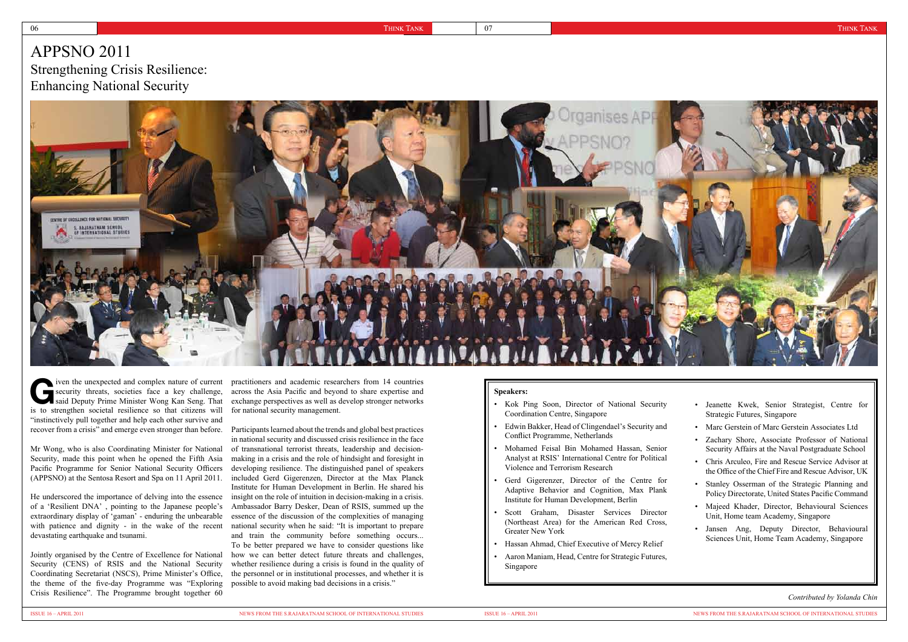Mr Wong, who is also Coordinating Minister for National Security, made this point when he opened the Fifth Asia Pacific Programme for Senior National Security Officers (APPSNO) at the Sentosa Resort and Spa on 11 April 2011.

He underscored the importance of delving into the essence of a 'Resilient DNA' , pointing to the Japanese people's extraordinary display of 'gaman' - enduring the unbearable with patience and dignity - in the wake of the recent devastating earthquake and tsunami.

Jointly organised by the Centre of Excellence for National Security (CENS) of RSIS and the National Security Coordinating Secretariat (NSCS), Prime Minister's Office, the theme of the five-day Programme was "Exploring Crisis Resilience". The Programme brought together 60

across the Asia Pacific and beyond to share expertise and exchange perspectives as well as develop stronger networks for national security management.

in national security and discussed crisis resilience in the face of transnational terrorist threats, leadership and decisionmaking in a crisis and the role of hindsight and foresight in developing resilience. The distinguished panel of speakers included Gerd Gigerenzen, Director at the Max Planck Institute for Human Development in Berlin. He shared his insight on the role of intuition in decision-making in a crisis. Ambassador Barry Desker, Dean of RSIS, summed up the essence of the discussion of the complexities of managing national security when he said: "It is important to prepare and train the community before something occurs... To be better prepared we have to consider questions like how we can better detect future threats and challenges, whether resilience during a crisis is found in the quality of the personnel or in institutional processes, and whether it is possible to avoid making bad decisions in a crisis."

*Contributed by Yolanda Chin*

| $T11$ DIVO $2011$<br>Strengthening Crisis Resilience:<br><b>Enhancing National Security</b>    |  |               |
|------------------------------------------------------------------------------------------------|--|---------------|
| CENTRE OF EXCELLENCE FOR NATIONAL SECURITY<br>S. RAJARATNAM SCHOOL<br>OF INTERNATIONAL STUDIES |  | Organises APP |
|                                                                                                |  |               |

**G**iven the unexpected and complex nature of current security threats, societies face a key challenge, said Deputy Prime Minister Wong Kan Seng. That security threats, societies face a key challenge, is to strengthen societal resilience so that citizens will "instinctively pull together and help each other survive and recover from a crisis" and emerge even stronger than before. Participants learned about the trends and global best practices provide the unexpected and complex nature of current practitioners and academic researchers from 14 countries

#### **Speakers:**

- Kok Ping Soon, Director of National Security Coordination Centre, Singapore
- Edwin Bakker, Head of Clingendael's Security and Conflict Programme, Netherlands
- Mohamed Feisal Bin Mohamed Hassan, Senior Analyst at RSIS' International Centre for Political Violence and Terrorism Research
- Gerd Gigerenzer, Director of the Centre for Adaptive Behavior and Cognition, Max Plank Institute for Human Development, Berlin
- Scott Graham, Disaster Services Director (Northeast Area) for the American Red Cross, Greater New York
- Hassan Ahmad, Chief Executive of Mercy Relief
- Aaron Maniam, Head, Centre for Strategic Futures, Singapore

 $ADDKNO 2011$ 



- Jeanette Kwek, Senior Strategist, Centre for Strategic Futures, Singapore
- Marc Gerstein of Marc Gerstein Associates Ltd
- Zachary Shore, Associate Professor of National Security Affairs at the Naval Postgraduate School
- Chris Arculeo, Fire and Rescue Service Advisor at the Office of the Chief Fire and Rescue Advisor, UK
- Stanley Osserman of the Strategic Planning and Policy Directorate, United States Pacific Command
- Majeed Khader, Director, Behavioural Sciences Unit, Home team Academy, Singapore
- Jansen Ang, Deputy Director, Behavioural Sciences Unit, Home Team Academy, Singapore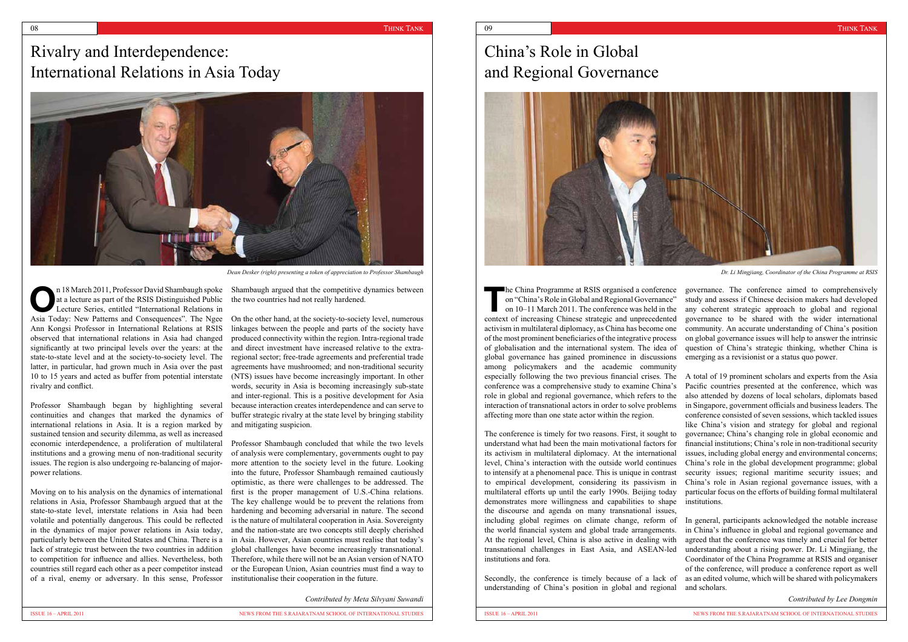### Rivalry and Interdependence: International Relations in Asia Today

n 18 March 2011, Professor David Shambaugh spoke<br>
at a lecture as part of the RSIS Distinguished Public<br>
Lecture Series, entitled "International Relations in at a lecture as part of the RSIS Distinguished Public Asia Today: New Patterns and Consequences". The Ngee On the other hand, at the society-to-society level, numerous Ann Kongsi Professor in International Relations at RSIS observed that international relations in Asia had changed significantly at two principal levels over the years: at the state-to-state level and at the society-to-society level. The latter, in particular, had grown much in Asia over the past 10 to 15 years and acted as buffer from potential interstate rivalry and conflict.

Professor Shambaugh began by highlighting several continuities and changes that marked the dynamics of international relations in Asia. It is a region marked by sustained tension and security dilemma, as well as increased economic interdependence, a proliferation of multilateral institutions and a growing menu of non-traditional security issues. The region is also undergoing re-balancing of majorpower relations.

Moving on to his analysis on the dynamics of international relations in Asia, Professor Shambaugh argued that at the state-to-state level, interstate relations in Asia had been volatile and potentially dangerous. This could be reflected in the dynamics of major power relations in Asia today, particularly between the United States and China. There is a in Asia. However, Asian countries must realise that today's lack of strategic trust between the two countries in addition to competition for influence and allies. Nevertheless, both countries still regard each other as a peer competitor instead of a rival, enemy or adversary. In this sense, Professor

Shambaugh argued that the competitive dynamics between the two countries had not really hardened.

linkages between the people and parts of the society have produced connectivity within the region. Intra-regional trade and direct investment have increased relative to the extraregional sector; free-trade agreements and preferential trade agreements have mushroomed; and non-traditional security (NTS) issues have become increasingly important. In other words, security in Asia is becoming increasingly sub-state and inter-regional. This is a positive development for Asia because interaction creates interdependence and can serve to buffer strategic rivalry at the state level by bringing stability and mitigating suspicion.

The China Programme at RSIS organised a conference<br>on "China's Role in Global and Regional Governance"<br>on 10–11 March 2011. The conference was held in the on "China's Role in Global and Regional Governance" on 10–11 March 2011. The conference was held in the context of increasing Chinese strategic and unprecedented activism in multilateral diplomacy, as China has become one of the most prominent beneficiaries of the integrative process of globalisation and the international system. The idea of global governance has gained prominence in discussions among policymakers and the academic community especially following the two previous financial crises. The conference was a comprehensive study to examine China's role in global and regional governance, which refers to the interaction of transnational actors in order to solve problems affecting more than one state actor within the region. governance. The conference aimed to comprehensively study and assess if Chinese decision makers had developed any coherent strategic approach to global and regional governance to be shared with the wider international community. An accurate understanding of China's position on global governance issues will help to answer the intrinsic question of China's strategic thinking, whether China is emerging as a revisionist or a status quo power. A total of 19 prominent scholars and experts from the Asia Pacific countries presented at the conference, which was also attended by dozens of local scholars, diplomats based in Singapore, government officials and business leaders. The conference consisted of seven sessions, which tackled issues

Professor Shambaugh concluded that while the two levels of analysis were complementary, governments ought to pay more attention to the society level in the future. Looking into the future, Professor Shambaugh remained cautiously optimistic, as there were challenges to be addressed. The first is the proper management of U.S.-China relations. The key challenge would be to prevent the relations from hardening and becoming adversarial in nature. The second is the nature of multilateral cooperation in Asia. Sovereignty and the nation-state are two concepts still deeply cherished global challenges have become increasingly transnational. Therefore, while there will not be an Asian version of NATO or the European Union, Asian countries must find a way to institutionalise their cooperation in the future.



*Dean Desker (right) presenting a token of appreciation to Professor Shambaugh*

*Contributed by Meta Silvyani Suwandi*

### China's Role in Global and Regional Governance



The conference is timely for two reasons. First, it sought to understand what had been the main motivational factors for its activism in multilateral diplomacy. At the international level, China's interaction with the outside world continues to intensify at a phenomenal pace. This is unique in contrast to empirical development, considering its passivism in multilateral efforts up until the early 1990s. Beijing today demonstrates more willingness and capabilities to shape the discourse and agenda on many transnational issues, including global regimes on climate change, reform of the world financial system and global trade arrangements. At the regional level, China is also active in dealing with transnational challenges in East Asia, and ASEAN-led institutions and fora.

Secondly, the conference is timely because of a lack of understanding of China's position in global and regional In general, participants acknowledged the notable increase in China's influence in global and regional governance and agreed that the conference was timely and crucial for better understanding about a rising power. Dr. Li Mingjiang, the Coordinator of the China Programme at RSIS and organiser of the conference, will produce a conference report as well as an edited volume, which will be shared with policymakers and scholars.

like China's vision and strategy for global and regional governance; China's changing role in global economic and financial institutions; China's role in non-traditional security issues, including global energy and environmental concerns; China's role in the global development programme; global security issues; regional maritime security issues; and China's role in Asian regional governance issues, with a particular focus on the efforts of building formal multilateral institutions.

*Contributed by Lee Dongmin*

*Dr. Li Mingjiang, Coordinator of the China Programme at RSIS*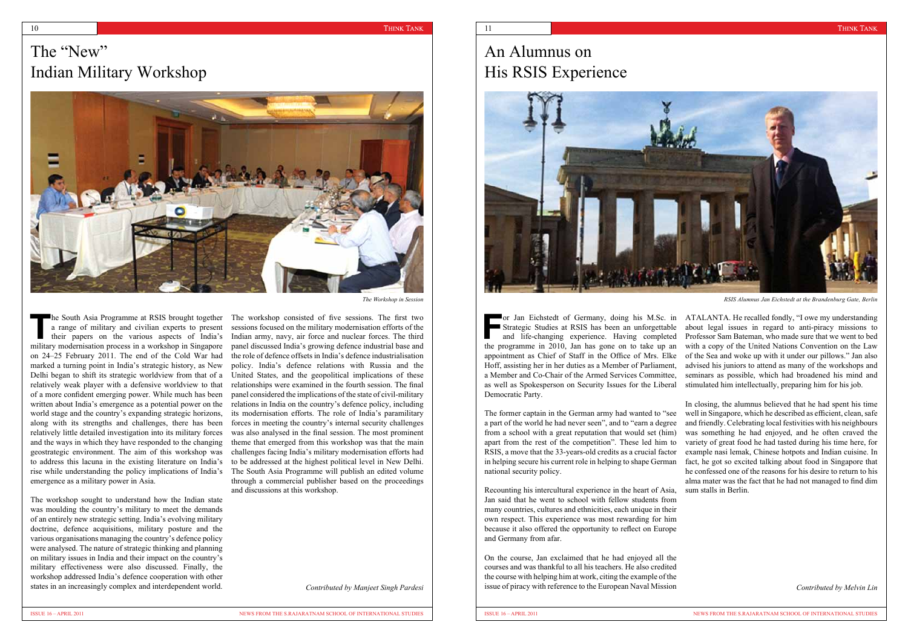### The "New" Indian Military Workshop



**The South Asia Programme at RSIS brought together**<br>
a range of military and civilian experts to present<br>
their papers on the various aspects of India's<br>
military medianization process in a weakshap in Singerpape a range of military and civilian experts to present military modernisation process in a workshop in Singapore on 24–25 February 2011. The end of the Cold War had marked a turning point in India's strategic history, as New Delhi began to shift its strategic worldview from that of a relatively weak player with a defensive worldview to that of a more confident emerging power. While much has been written about India's emergence as a potential power on the world stage and the country's expanding strategic horizons, along with its strengths and challenges, there has been relatively little detailed investigation into its military forces and the ways in which they have responded to the changing geostrategic environment. The aim of this workshop was to address this lacuna in the existing literature on India's rise while understanding the policy implications of India's emergence as a military power in Asia.

The workshop sought to understand how the Indian state was moulding the country's military to meet the demands of an entirely new strategic setting. India's evolving military doctrine, defence acquisitions, military posture and the various organisations managing the country's defence policy were analysed. The nature of strategic thinking and planning on military issues in India and their impact on the country's military effectiveness were also discussed. Finally, the workshop addressed India's defence cooperation with other states in an increasingly complex and interdependent world.

The workshop consisted of five sessions. The first two sessions focused on the military modernisation efforts of the Indian army, navy, air force and nuclear forces. The third panel discussed India's growing defence industrial base and the role of defence offsets in India's defence industrialisation policy. India's defence relations with Russia and the United States, and the geopolitical implications of these relationships were examined in the fourth session. The final panel considered the implications of the state of civil-military relations in India on the country's defence policy, including its modernisation efforts. The role of India's paramilitary forces in meeting the country's internal security challenges was also analysed in the final session. The most prominent theme that emerged from this workshop was that the main challenges facing India's military modernisation efforts had to be addressed at the highest political level in New Delhi. The South Asia Programme will publish an edited volume through a commercial publisher based on the proceedings and discussions at this workshop.

**Formany**, doing his M.Sc. in<br>
Strategic Studies at RSIS has been an unforgettable<br>
and life-changing experience. Having completed<br>
the measures in 2010. In her case on to take we can Strategic Studies at RSIS has been an unforgettable the programme in 2010, Jan has gone on to take up an appointment as Chief of Staff in the Office of Mrs. Elke Hoff, assisting her in her duties as a Member of Parliament, a Member and Co-Chair of the Armed Services Committee, as well as Spokesperson on Security Issues for the Liberal Democratic Party. **The Figure 3** or Jan Eichstedt of Germany, doing his M.Sc. in ATALANTA. He recalled fondly, "I owe my understanding about legal issues in regard to anti-piracy missions to Professor Sam Bateman, who made sure that we went to bed with a copy of the United Nations Convention on the Law of the Sea and woke up with it under our pillows." Jan also advised his juniors to attend as many of the workshops and seminars as possible, which had broadened his mind and stimulated him intellectually, preparing him for his job.

*The Workshop in Session*

*Contributed by Manjeet Singh Pardesi*

Jan said that he went to school with fellow students from many countries, cultures and ethnicities, each unique in their own respect. This experience was most rewarding for him because it also offered the opportunity to reflect on Europe and Germany from afar.

On the course, Jan exclaimed that he had enjoyed all the courses and was thankful to all his teachers. He also credited the course with helping him at work, citing the example of the issue of piracy with reference to the European Naval Mission

The former captain in the German army had wanted to "see a part of the world he had never seen", and to "earn a degree from a school with a great reputation that would set (him) apart from the rest of the competition". These led him to RSIS, a move that the 33-years-old credits as a crucial factor in helping secure his current role in helping to shape German national security policy. Recounting his intercultural experience in the heart of Asia, In closing, the alumnus believed that he had spent his time well in Singapore, which he described as efficient, clean, safe and friendly. Celebrating local festivities with his neighbours was something he had enjoyed, and he often craved the variety of great food he had tasted during his time here, for example nasi lemak, Chinese hotpots and Indian cuisine. In fact, he got so excited talking about food in Singapore that he confessed one of the reasons for his desire to return to his alma mater was the fact that he had not managed to find dim sum stalls in Berlin.

*RSIS Alumnus Jan Eichstedt at the Brandenburg Gate, Berlin*

### An Alumnus on His RSIS Experience



*Contributed by Melvin Lin*